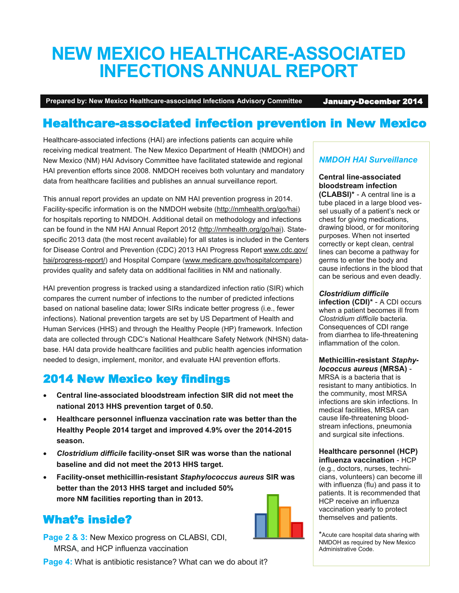# **NEW MEXICO HEALTHCARE-ASSOCIATED INFECTIONS ANNUAL REPORT**

**Prepared by: New Mexico Healthcare-associated Infections Advisory Committee** January-December 2014

## Healthcare-associated infection prevention in New Mexico

Healthcare-associated infections (HAI) are infections patients can acquire while receiving medical treatment. The New Mexico Department of Health (NMDOH) and New Mexico (NM) HAI Advisory Committee have facilitated statewide and regional HAI prevention efforts since 2008. NMDOH receives both voluntary and mandatory data from healthcare facilities and publishes an annual surveillance report.

This annual report provides an update on NM HAI prevention progress in 2014. Facility-specific information is on the NMDOH website [\(http://nmhealth.org/go/hai\)](http://www.nmhealth.org/go/hai) for hospitals reporting to NMDOH. Additional detail on methodology and infections can be found in the NM HAI Annual Report 2012 [\(http://nmhealth.org/go/hai\)](http://www.nmhealth.org/go/hai). Statespecific 2013 data (the most recent available) for all states is included in the Centers for Disease Control and Prevention (CDC) 2013 HAI Progress Report [www.cdc.gov/](http://www.cdc.gov/hai/progress-report/) [hai/progress](http://www.cdc.gov/hai/progress-report/)-report/) and Hospital Compare ([www.medicare.gov/hospitalcompare\)](http://www.medicare.gov/hospitalcompare) provides quality and safety data on additional facilities in NM and nationally.

HAI prevention progress is tracked using a standardized infection ratio (SIR) which compares the current number of infections to the number of predicted infections based on national baseline data; lower SIRs indicate better progress (i.e., fewer infections). National prevention targets are set by US Department of Health and Human Services (HHS) and through the Healthy People (HP) framework. Infection data are collected through CDC's National Healthcare Safety Network (NHSN) database. HAI data provide healthcare facilities and public health agencies information needed to design, implement, monitor, and evaluate HAI prevention efforts.

## 2014 New Mexico key findings

- **Central line-associated bloodstream infection SIR did not meet the national 2013 HHS prevention target of 0.50.**
- **Healthcare personnel influenza vaccination rate was better than the Healthy People 2014 target and improved 4.9% over the 2014-2015 season.**
- *Clostridium difficile* **facility-onset SIR was worse than the national baseline and did not meet the 2013 HHS target.**
- **Facility-onset methicillin-resistant** *Staphylococcus aureus* **SIR was better than the 2013 HHS target and included 50% more NM facilities reporting than in 2013.**

### What's inside?

**Page 2 & 3: New Mexico progress on CLABSI, CDI,** MRSA, and HCP influenza vaccination

**Page 4:** What is antibiotic resistance? What can we do about it?

### *NMDOH HAI Surveillance*

#### **Central line-associated bloodstream infection**

**(CLABSI)\*** - A central line is a tube placed in a large blood vessel usually of a patient's neck or chest for giving medications, drawing blood, or for monitoring purposes. When not inserted correctly or kept clean, central lines can become a pathway for germs to enter the body and cause infections in the blood that can be serious and even deadly.

#### *Clostridium difficile*

**infection (CDI)\*** - A CDI occurs when a patient becomes ill from *Clostridium difficile* bacteria. Consequences of CDI range from diarrhea to life-threatening inflammation of the colon.

#### **Methicillin-resistant** *Staphylococcus aureus* **(MRSA)** -

MRSA is a bacteria that is resistant to many antibiotics. In the community, most MRSA infections are skin infections. In medical facilities, MRSA can cause life-threatening bloodstream infections, pneumonia and surgical site infections.

#### **Healthcare personnel (HCP) influenza vaccination** - HCP

(e.g., doctors, nurses, technicians, volunteers) can become ill with influenza (flu) and pass it to patients. It is recommended that HCP receive an influenza vaccination yearly to protect themselves and patients.

\*Acute care hospital data sharing with NMDOH as required by New Mexico Administrative Code.

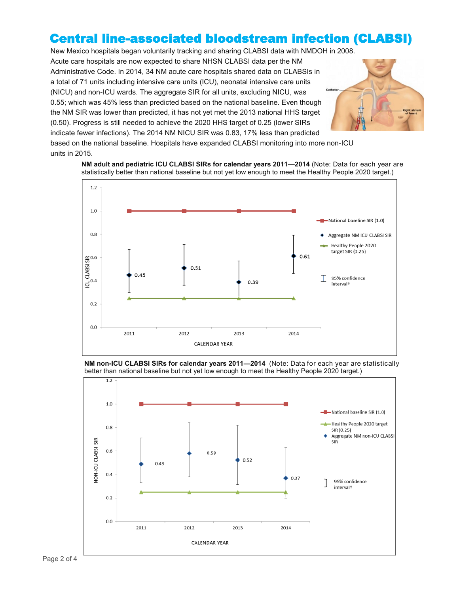### Central line-associated bloodstream infection (CLABSI)

New Mexico hospitals began voluntarily tracking and sharing CLABSI data with NMDOH in 2008.

Acute care hospitals are now expected to share NHSN CLABSI data per the NM Administrative Code. In 2014, 34 NM acute care hospitals shared data on CLABSIs in a total of 71 units including intensive care units (ICU), neonatal intensive care units (NICU) and non-ICU wards. The aggregate SIR for all units, excluding NICU, was 0.55; which was 45% less than predicted based on the national baseline. Even though the NM SIR was lower than predicted, it has not yet met the 2013 national HHS target (0.50). Progress is still needed to achieve the 2020 HHS target of 0.25 (lower SIRs indicate fewer infections). The 2014 NM NICU SIR was 0.83, 17% less than predicted based on the national baseline. Hospitals have expanded CLABSI monitoring into more non-ICU



units in 2015. **NM adult and pediatric ICU CLABSI SIRs for calendar years 2011—2014** (Note: Data for each year are

statistically better than national baseline but not yet low enough to meet the Healthy People 2020 target.)



**NM non-ICU CLABSI SIRs for calendar years 2011—2014** (Note: Data for each year are statistically better than national baseline but not yet low enough to meet the Healthy People 2020 target.)

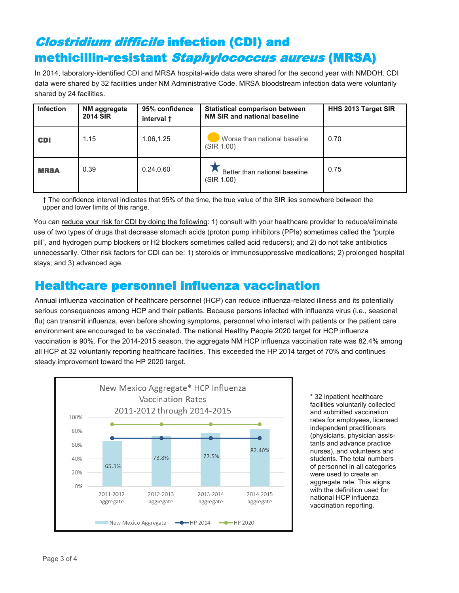# Clostridium difficile infection (CDI) and methicillin-resistant Staphylococcus aureus (MRSA)

In 2014, laboratory-identified CDI and MRSA hospital-wide data were shared for the second year with NMDOH. CDI data were shared by 32 facilities under NM Administrative Code. MRSA bloodstream infection data were voluntarily shared by 24 facilities.

| <b>Infection</b> | NM aggregate<br><b>2014 SIR</b> | 95% confidence<br>interval + | <b>Statistical comparison between</b><br>NM SIR and national baseline | HHS 2013 Target SIR |
|------------------|---------------------------------|------------------------------|-----------------------------------------------------------------------|---------------------|
| <b>CDI</b>       | 1.15                            | 1.06,1.25                    | Worse than national baseline<br>(SIR 1.00)                            | 0.70                |
| <b>MRSA</b>      | 0.39                            | 0.24, 0.60                   | Better than national baseline<br>(SIR 1.00)                           | 0.75                |

† The confidence interval indicates that 95% of the time, the true value of the SIR lies somewhere between the upper and lower limits of this range.

You can reduce your risk for CDI by doing the following: 1) consult with your healthcare provider to reduce/eliminate use of two types of drugs that decrease stomach acids (proton pump inhibitors (PPIs) sometimes called the "purple pill", and hydrogen pump blockers or H2 blockers sometimes called acid reducers); and 2) do not take antibiotics unnecessarily. Other risk factors for CDI can be: 1) steroids or immunosuppressive medications; 2) prolonged hospital stays; and 3) advanced age.

### Healthcare personnel influenza vaccination

Annual influenza vaccination of healthcare personnel (HCP) can reduce influenza-related illness and its potentially serious consequences among HCP and their patients. Because persons infected with influenza virus (i.e., seasonal flu) can transmit influenza, even before showing symptoms, personnel who interact with patients or the patient care environment are encouraged to be vaccinated. The national Healthy People 2020 target for HCP influenza vaccination is 90%. For the 2014-2015 season, the aggregate NM HCP influenza vaccination rate was 82.4% among all HCP at 32 voluntarily reporting healthcare facilities. This exceeded the HP 2014 target of 70% and continues steady improvement toward the HP 2020 target.



\* 32 inpatient healthcare facilities voluntarily collected and submitted vaccination rates for employees, licensed independent practitioners (physicians, physician assistants and advance practice nurses), and volunteers and students. The total numbers of personnel in all categories were used to create an aggregate rate. This aligns with the definition used for national HCP influenza vaccination reporting.